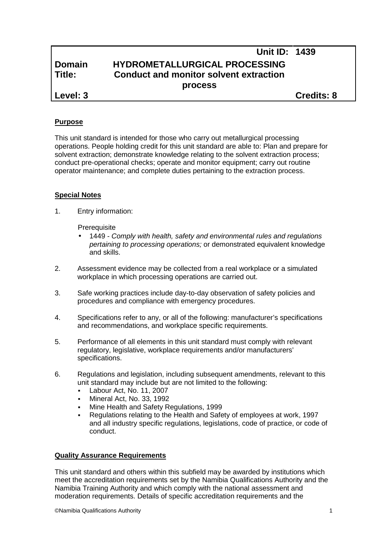# **Unit ID: 1439 Domain HYDROMETALLURGICAL PROCESSING Title: Conduct and monitor solvent extraction process Level: 3 Credits: 8**

# **Purpose**

This unit standard is intended for those who carry out metallurgical processing operations. People holding credit for this unit standard are able to: Plan and prepare for solvent extraction; demonstrate knowledge relating to the solvent extraction process; conduct pre-operational checks; operate and monitor equipment; carry out routine operator maintenance; and complete duties pertaining to the extraction process.

## **Special Notes**

1. Entry information:

**Prerequisite** 

- 1449 *- Comply with health, safety and environmental rules and regulations pertaining to processing operations;* or demonstrated equivalent knowledge and skills.
- 2. Assessment evidence may be collected from a real workplace or a simulated workplace in which processing operations are carried out.
- 3. Safe working practices include day-to-day observation of safety policies and procedures and compliance with emergency procedures.
- 4. Specifications refer to any, or all of the following: manufacturer's specifications and recommendations, and workplace specific requirements.
- 5. Performance of all elements in this unit standard must comply with relevant regulatory, legislative, workplace requirements and/or manufacturers' specifications.
- 6. Regulations and legislation, including subsequent amendments, relevant to this unit standard may include but are not limited to the following:
	- Labour Act, No. 11, 2007
	- Mineral Act, No. 33, 1992
	- Mine Health and Safety Regulations, 1999
	- Regulations relating to the Health and Safety of employees at work, 1997 and all industry specific regulations, legislations, code of practice, or code of conduct.

### **Quality Assurance Requirements**

This unit standard and others within this subfield may be awarded by institutions which meet the accreditation requirements set by the Namibia Qualifications Authority and the Namibia Training Authority and which comply with the national assessment and moderation requirements. Details of specific accreditation requirements and the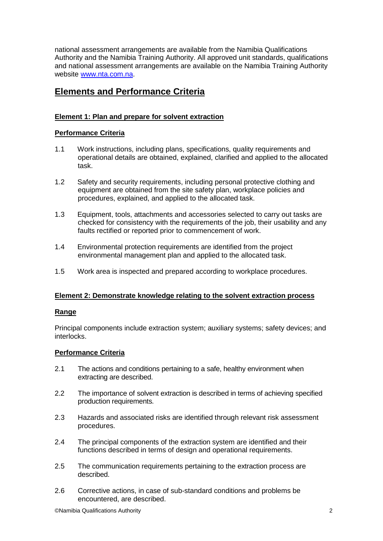national assessment arrangements are available from the Namibia Qualifications Authority and the Namibia Training Authority. All approved unit standards, qualifications and national assessment arrangements are available on the Namibia Training Authority website www.nta.com.na.

# **Elements and Performance Criteria**

# **Element 1: Plan and prepare for solvent extraction**

# **Performance Criteria**

- 1.1 Work instructions, including plans, specifications, quality requirements and operational details are obtained, explained, clarified and applied to the allocated task.
- 1.2 Safety and security requirements, including personal protective clothing and equipment are obtained from the site safety plan, workplace policies and procedures, explained, and applied to the allocated task.
- 1.3 Equipment, tools, attachments and accessories selected to carry out tasks are checked for consistency with the requirements of the job, their usability and any faults rectified or reported prior to commencement of work.
- 1.4 Environmental protection requirements are identified from the project environmental management plan and applied to the allocated task.
- 1.5 Work area is inspected and prepared according to workplace procedures.

# **Element 2: Demonstrate knowledge relating to the solvent extraction process**

### **Range**

Principal components include extraction system; auxiliary systems; safety devices; and interlocks.

# **Performance Criteria**

- 2.1 The actions and conditions pertaining to a safe, healthy environment when extracting are described.
- 2.2 The importance of solvent extraction is described in terms of achieving specified production requirements.
- 2.3 Hazards and associated risks are identified through relevant risk assessment procedures.
- 2.4 The principal components of the extraction system are identified and their functions described in terms of design and operational requirements.
- 2.5 The communication requirements pertaining to the extraction process are described.
- 2.6 Corrective actions, in case of sub-standard conditions and problems be encountered, are described.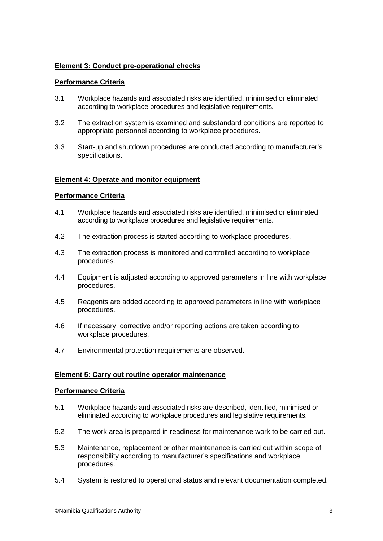# **Element 3: Conduct pre-operational checks**

# **Performance Criteria**

- 3.1 Workplace hazards and associated risks are identified, minimised or eliminated according to workplace procedures and legislative requirements.
- 3.2 The extraction system is examined and substandard conditions are reported to appropriate personnel according to workplace procedures.
- 3.3 Start-up and shutdown procedures are conducted according to manufacturer's specifications.

## **Element 4: Operate and monitor equipment**

## **Performance Criteria**

- 4.1 Workplace hazards and associated risks are identified, minimised or eliminated according to workplace procedures and legislative requirements.
- 4.2 The extraction process is started according to workplace procedures.
- 4.3 The extraction process is monitored and controlled according to workplace procedures.
- 4.4 Equipment is adjusted according to approved parameters in line with workplace procedures.
- 4.5 Reagents are added according to approved parameters in line with workplace procedures.
- 4.6 If necessary, corrective and/or reporting actions are taken according to workplace procedures.
- 4.7 Environmental protection requirements are observed.

### **Element 5: Carry out routine operator maintenance**

### **Performance Criteria**

- 5.1 Workplace hazards and associated risks are described, identified, minimised or eliminated according to workplace procedures and legislative requirements.
- 5.2 The work area is prepared in readiness for maintenance work to be carried out.
- 5.3 Maintenance, replacement or other maintenance is carried out within scope of responsibility according to manufacturer's specifications and workplace procedures.
- 5.4 System is restored to operational status and relevant documentation completed.